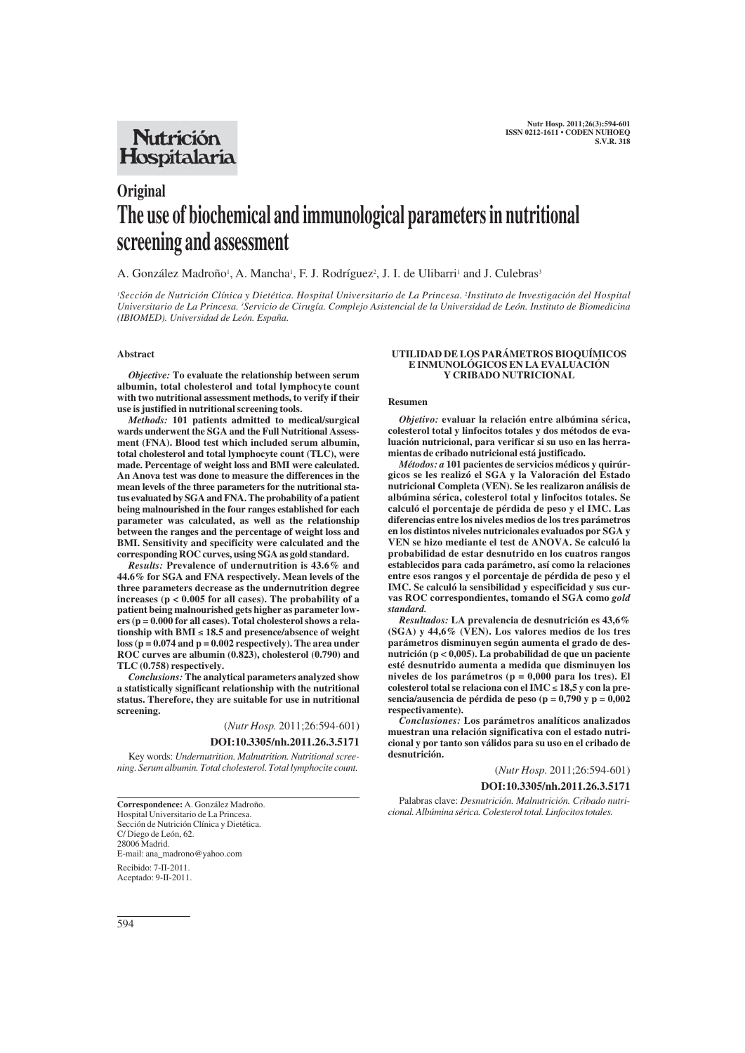## **Nutrición** Hospitalaria

# **Original The use of biochemical and immunological parameters in nutritional screening and assessment**

## A. González Madroño<sup>1</sup>, A. Mancha<sup>1</sup>, F. J. Rodríguez<sup>2</sup>, J. I. de Ulibarri<sup>1</sup> and J. Culebras<sup>3</sup>

*1 Sección de Nutrición Clínica y Dietética. Hospital Universitario de La Princesa. 2 Instituto de Investigación del Hospital Universitario de La Princesa. 3 Servicio de Cirugía. Complejo Asistencial de la Universidad de León. Instituto de Biomedicina (IBIOMED). Universidad de León. España.*

## **Abstract**

*Objective:* **To evaluate the relationship between serum albumin, total cholesterol and total lymphocyte count with two nutritional assessment methods, to verify if their use is justified in nutritional screening tools.**

*Methods:* **101 patients admitted to medical/surgical wards underwent the SGA and the Full Nutritional Assessment (FNA). Blood test which included serum albumin, total cholesterol and total lymphocyte count (TLC), were made. Percentage of weight loss and BMI were calculated. An Anova test was done to measure the differences in the mean levels of the three parameters for the nutritional status evaluated by SGA and FNA. The probability of a patient being malnourished in the four ranges established for each parameter was calculated, as well as the relationship between the ranges and the percentage of weight loss and BMI. Sensitivity and specificity were calculated and the corresponding ROC curves, using SGA as gold standard.**

*Results:* **Prevalence of undernutrition is 43.6% and 44.6% for SGA and FNA respectively. Mean levels of the three parameters decrease as the undernutrition degree increases (p < 0.005 for all cases). The probability of a patient being malnourished gets higher as parameter lowers (p = 0.000 for all cases). Total cholesterol shows a relationship with BMI** ≤ **18.5 and presence/absence of weight loss (p = 0.074 and p = 0.002 respectively). The area under ROC curves are albumin (0.823), cholesterol (0.790) and TLC (0.758) respectively.**

*Conclusions:* **The analytical parameters analyzed show a statistically significant relationship with the nutritional status. Therefore, they are suitable for use in nutritional screening.**

(*Nutr Hosp.* 2011;26:594-601)

## **DOI:10.3305/nh.2011.26.3.5171**

Key words: *Undernutrition. Malnutrition. Nutritional screening. Serum albumin. Total cholesterol. Total lymphocite count.*

**Correspondence:** A. González Madroño. Hospital Universitario de La Princesa. Sección de Nutrición Clínica y Dietética. C/ Diego de León, 62. 28006 Madrid. E-mail: ana\_madrono@yahoo.com Recibido: 7-II-2011. Aceptado: 9-II-2011.

#### **UTILIDAD DE LOS PARÁMETROS BIOQUÍMICOS E INMUNOLÓGICOS EN LA EVALUACIÓN Y CRIBADO NUTRICIONAL**

#### **Resumen**

*Objetivo:* **evaluar la relación entre albúmina sérica, colesterol total y linfocitos totales y dos métodos de evaluación nutricional, para verificar si su uso en las herramientas de cribado nutricional está justificado.**

*Métodos: a* **101 pacientes de servicios médicos y quirúrgicos se les realizó el SGA y la Valoración del Estado nutricional Completa (VEN). Se les realizaron análisis de albúmina sérica, colesterol total y linfocitos totales. Se calculó el porcentaje de pérdida de peso y el IMC. Las diferencias entre los niveles medios de los tres parámetros en los distintos niveles nutricionales evaluados por SGA y VEN se hizo mediante el test de ANOVA. Se calculó la probabilidad de estar desnutrido en los cuatros rangos establecidos para cada parámetro, así como la relaciones entre esos rangos y el porcentaje de pérdida de peso y el IMC. Se calculó la sensibilidad y especificidad y sus curvas ROC correspondientes, tomando el SGA como** *gold standard.*

*Resultados:* **LA prevalencia de desnutrición es 43,6% (SGA) y 44,6% (VEN). Los valores medios de los tres parámetros disminuyen según aumenta el grado de desnutrición (p < 0,005). La probabilidad de que un paciente esté desnutrido aumenta a medida que disminuyen los niveles de los parámetros (p = 0,000 para los tres). El colesterol total se relaciona con el IMC** ≤ **18,5 y con la presencia/ausencia de pérdida de peso (p = 0,790 y p = 0,002 respectivamente).**

*Conclusiones:* **Los parámetros analíticos analizados muestran una relación significativa con el estado nutricional y por tanto son válidos para su uso en el cribado de desnutrición.** 

(*Nutr Hosp.* 2011;26:594-601)

**DOI:10.3305/nh.2011.26.3.5171**

Palabras clave: *Desnutrición. Malnutrición. Cribado nutricional. Albúmina sérica. Colesterol total. Linfocitos totales.*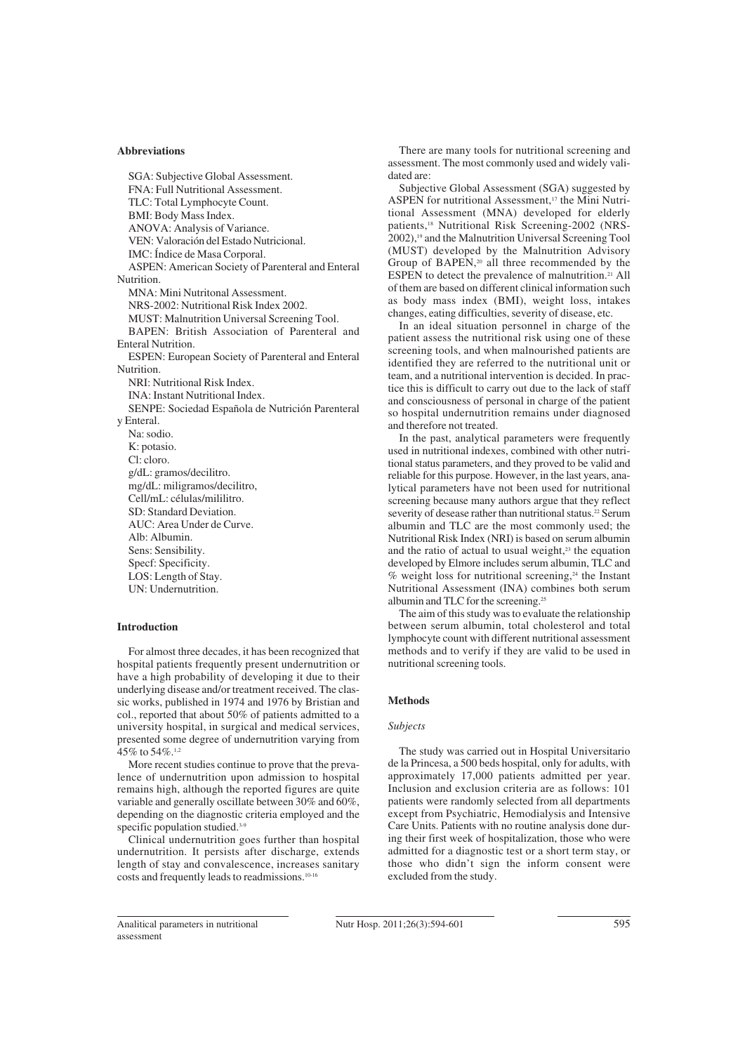#### **Abbreviations**

SGA: Subjective Global Assessment. FNA: Full Nutritional Assessment. TLC: Total Lymphocyte Count. BMI: Body Mass Index. ANOVA: Analysis of Variance. VEN: Valoración del Estado Nutricional. IMC: Índice de Masa Corporal. ASPEN: American Society of Parenteral and Enteral Nutrition. MNA: Mini Nutritonal Assessment. NRS-2002: Nutritional Risk Index 2002. MUST: Malnutrition Universal Screening Tool. BAPEN: British Association of Parenteral and Enteral Nutrition. ESPEN: European Society of Parenteral and Enteral Nutrition. NRI: Nutritional Risk Index. INA: Instant Nutritional Index. SENPE: Sociedad Española de Nutrición Parenteral y Enteral. Na: sodio. K: potasio. Cl: cloro. g/dL: gramos/decilitro. mg/dL: miligramos/decilitro, Cell/mL: células/mililitro. SD: Standard Deviation. AUC: Area Under de Curve. Alb: Albumin. Sens: Sensibility. Specf: Specificity. LOS: Length of Stay. UN: Undernutrition.

#### **Introduction**

For almost three decades, it has been recognized that hospital patients frequently present undernutrition or have a high probability of developing it due to their underlying disease and/or treatment received. The classic works, published in 1974 and 1976 by Bristian and col., reported that about 50% of patients admitted to a university hospital, in surgical and medical services, presented some degree of undernutrition varying from  $45\%$  to  $54\%$ .<sup>1,2</sup>

More recent studies continue to prove that the prevalence of undernutrition upon admission to hospital remains high, although the reported figures are quite variable and generally oscillate between 30% and 60%, depending on the diagnostic criteria employed and the specific population studied.<sup>3-9</sup>

Clinical undernutrition goes further than hospital undernutrition. It persists after discharge, extends length of stay and convalescence, increases sanitary costs and frequently leads to readmissions.10-16

There are many tools for nutritional screening and assessment. The most commonly used and widely validated are:

Subjective Global Assessment (SGA) suggested by ASPEN for nutritional Assessment.<sup>17</sup> the Mini Nutritional Assessment (MNA) developed for elderly patients,<sup>18</sup> Nutritional Risk Screening-2002 (NRS-2002),<sup>19</sup> and the Malnutrition Universal Screening Tool (MUST) developed by the Malnutrition Advisory Group of BAPEN,<sup>20</sup> all three recommended by the ESPEN to detect the prevalence of malnutrition.<sup>21</sup> All of them are based on different clinical information such as body mass index (BMI), weight loss, intakes changes, eating difficulties, severity of disease, etc.

In an ideal situation personnel in charge of the patient assess the nutritional risk using one of these screening tools, and when malnourished patients are identified they are referred to the nutritional unit or team, and a nutritional intervention is decided. In practice this is difficult to carry out due to the lack of staff and consciousness of personal in charge of the patient so hospital undernutrition remains under diagnosed and therefore not treated.

In the past, analytical parameters were frequently used in nutritional indexes, combined with other nutritional status parameters, and they proved to be valid and reliable for this purpose. However, in the last years, analytical parameters have not been used for nutritional screening because many authors argue that they reflect severity of desease rather than nutritional status.<sup>22</sup> Serum albumin and TLC are the most commonly used; the Nutritional Risk Index (NRI) is based on serum albumin and the ratio of actual to usual weight, $23$  the equation developed by Elmore includes serum albumin, TLC and  $%$  weight loss for nutritional screening,<sup>24</sup> the Instant Nutritional Assessment (INA) combines both serum albumin and TLC for the screening.25

The aim of this study was to evaluate the relationship between serum albumin, total cholesterol and total lymphocyte count with different nutritional assessment methods and to verify if they are valid to be used in nutritional screening tools.

#### **Methods**

## *Subjects*

The study was carried out in Hospital Universitario de la Princesa, a 500 beds hospital, only for adults, with approximately 17,000 patients admitted per year. Inclusion and exclusion criteria are as follows: 101 patients were randomly selected from all departments except from Psychiatric, Hemodialysis and Intensive Care Units. Patients with no routine analysis done during their first week of hospitalization, those who were admitted for a diagnostic test or a short term stay, or those who didn't sign the inform consent were excluded from the study.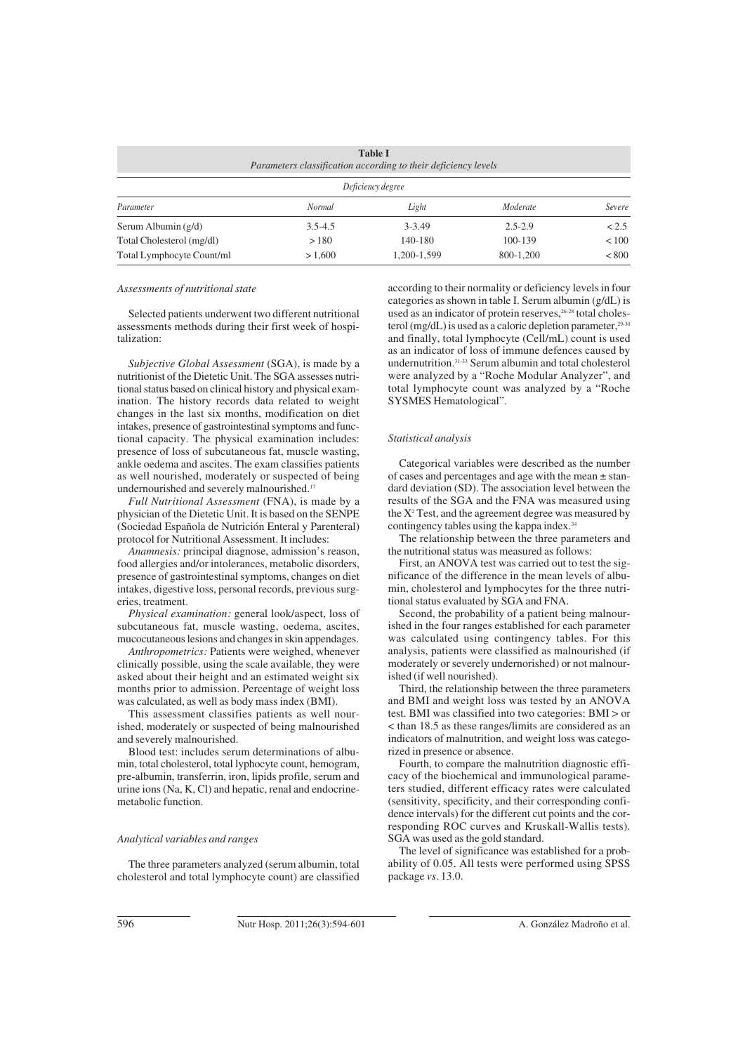| <b>Table I</b><br>Parameters classification according to their deficiency levels |               |             |             |              |  |  |  |
|----------------------------------------------------------------------------------|---------------|-------------|-------------|--------------|--|--|--|
| Deficiency degree                                                                |               |             |             |              |  |  |  |
| Parameter                                                                        | <b>Normal</b> | Light       | Moderate    | Severe       |  |  |  |
| Serum Albumin $(g/d)$                                                            | $3.5 - 4.5$   | $3 - 3.49$  | $2.5 - 2.9$ | < 2.5        |  |  |  |
| Total Cholesterol (mg/dl)                                                        | >180          | 140-180     | 100-139     | ${}_{< 100}$ |  |  |  |
| Total Lymphocyte Count/ml                                                        | >1.600        | 1.200-1.599 | 800-1.200   | < 800        |  |  |  |

#### *Assessments of nutritional state*

Selected patients underwent two different nutritional assessments methods during their first week of hospitalization:

*Subjective Global Assessment* (SGA), is made by a nutritionist of the Dietetic Unit. The SGA assesses nutritional status based on clinical history and physical examination. The history records data related to weight changes in the last six months, modification on diet intakes, presence of gastrointestinal symptoms and functional capacity. The physical examination includes: presence of loss of subcutaneous fat, muscle wasting, ankle oedema and ascites. The exam classifies patients as well nourished, moderately or suspected of being undernourished and severely malnourished.17

*Full Nutritional Assessment* (FNA), is made by a physician of the Dietetic Unit. It is based on the SENPE (Sociedad Española de Nutrición Enteral y Parenteral) protocol for Nutritional Assessment. It includes:

*Anamnesis:* principal diagnose, admission's reason, food allergies and/or intolerances, metabolic disorders, presence of gastrointestinal symptoms, changes on diet intakes, digestive loss, personal records, previous surgeries, treatment.

*Physical examination:* general look/aspect, loss of subcutaneous fat, muscle wasting, oedema, ascites, mucocutaneous lesions and changes in skin appendages.

*Anthropometrics:* Patients were weighed, whenever clinically possible, using the scale available, they were asked about their height and an estimated weight six months prior to admission. Percentage of weight loss was calculated, as well as body mass index (BMI).

This assessment classifies patients as well nourished, moderately or suspected of being malnourished and severely malnourished.

Blood test: includes serum determinations of albumin, total cholesterol, total lyphocyte count, hemogram, pre-albumin, transferrin, iron, lipids profile, serum and urine ions (Na, K, Cl) and hepatic, renal and endocrinemetabolic function.

## *Analytical variables and ranges*

The three parameters analyzed (serum albumin, total cholesterol and total lymphocyte count) are classified according to their normality or deficiency levels in four categories as shown in table I. Serum albumin (g/dL) is used as an indicator of protein reserves,<sup>26-28</sup> total cholesterol (mg/dL) is used as a caloric depletion parameter, $29-30$ and finally, total lymphocyte (Cell/mL) count is used as an indicator of loss of immune defences caused by undernutrition.31-33 Serum albumin and total cholesterol were analyzed by a "Roche Modular Analyzer", and total lymphocyte count was analyzed by a "Roche SYSMES Hematological".

#### *Statistical analysis*

Categorical variables were described as the number of cases and percentages and age with the mean ± standard deviation (SD). The association level between the results of the SGA and the FNA was measured using the Χ<sup>2</sup> Test, and the agreement degree was measured by contingency tables using the kappa index.<sup>34</sup>

The relationship between the three parameters and the nutritional status was measured as follows:

First, an ANOVA test was carried out to test the significance of the difference in the mean levels of albumin, cholesterol and lymphocytes for the three nutritional status evaluated by SGA and FNA.

Second, the probability of a patient being malnourished in the four ranges established for each parameter was calculated using contingency tables. For this analysis, patients were classified as malnourished (if moderately or severely undernorished) or not malnourished (if well nourished).

Third, the relationship between the three parameters and BMI and weight loss was tested by an ANOVA test. BMI was classified into two categories: BMI > or < than 18.5 as these ranges/limits are considered as an indicators of malnutrition, and weight loss was categorized in presence or absence.

Fourth, to compare the malnutrition diagnostic efficacy of the biochemical and immunological parameters studied, different efficacy rates were calculated (sensitivity, specificity, and their corresponding confidence intervals) for the different cut points and the corresponding ROC curves and Kruskall-Wallis tests). SGA was used as the gold standard.

The level of significance was established for a probability of 0.05. All tests were performed using SPSS package *vs.* 13.0.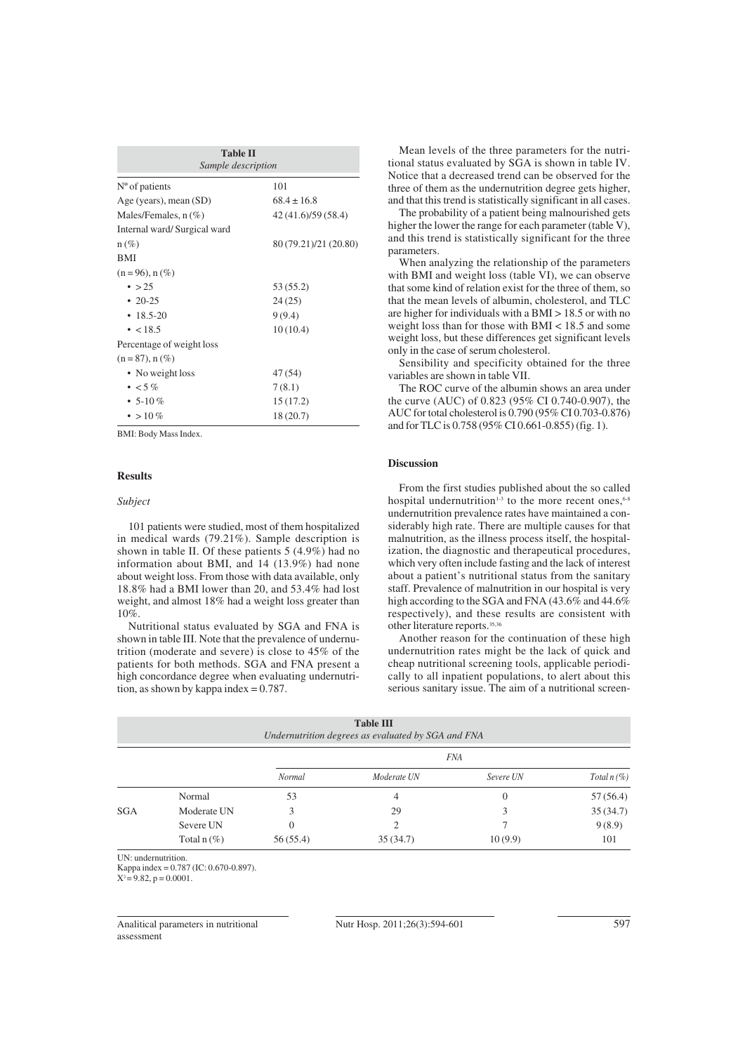| <b>Table II</b><br>Sample description |                       |  |  |  |  |  |
|---------------------------------------|-----------------------|--|--|--|--|--|
| $No$ of patients                      | 101                   |  |  |  |  |  |
| Age (years), mean (SD)                | $68.4 \pm 16.8$       |  |  |  |  |  |
| Males/Females, $n$ (%)                | 42 (41.6)/59 (58.4)   |  |  |  |  |  |
| Internal ward/Surgical ward           |                       |  |  |  |  |  |
| $n(\%)$                               | 80 (79.21)/21 (20.80) |  |  |  |  |  |
| <b>BMI</b>                            |                       |  |  |  |  |  |
| $(n = 96)$ , n $(\%)$                 |                       |  |  |  |  |  |
| $\bullet$ > 25                        | 53 (55.2)             |  |  |  |  |  |
| • $20-25$                             | 24(25)                |  |  |  |  |  |
| $\cdot$ 18.5-20                       | 9(9.4)                |  |  |  |  |  |
| $\cdot$ < 18.5                        | 10(10.4)              |  |  |  |  |  |
| Percentage of weight loss             |                       |  |  |  |  |  |
| $(n = 87)$ , n $(\%)$                 |                       |  |  |  |  |  |
| • No weight loss                      | 47(54)                |  |  |  |  |  |
| $\cdot$ < 5%                          | 7(8.1)                |  |  |  |  |  |
| • 5-10 $%$                            | 15(17.2)              |  |  |  |  |  |
| • > 10 %                              | 18(20.7)              |  |  |  |  |  |

BMI: Body Mass Index.

#### **Results**

## *Subject*

101 patients were studied, most of them hospitalized in medical wards (79.21%). Sample description is shown in table II. Of these patients 5 (4.9%) had no information about BMI, and 14 (13.9%) had none about weight loss. From those with data available, only 18.8% had a BMI lower than 20, and 53.4% had lost weight, and almost 18% had a weight loss greater than 10%.

Nutritional status evaluated by SGA and FNA is shown in table III. Note that the prevalence of undernutrition (moderate and severe) is close to 45% of the patients for both methods. SGA and FNA present a high concordance degree when evaluating undernutrition, as shown by kappa index = 0.787.

Mean levels of the three parameters for the nutritional status evaluated by SGA is shown in table IV. Notice that a decreased trend can be observed for the three of them as the undernutrition degree gets higher, and that this trend is statistically significant in all cases.

The probability of a patient being malnourished gets higher the lower the range for each parameter (table V), and this trend is statistically significant for the three parameters.

When analyzing the relationship of the parameters with BMI and weight loss (table VI), we can observe that some kind of relation exist for the three of them, so that the mean levels of albumin, cholesterol, and TLC are higher for individuals with a BMI > 18.5 or with no weight loss than for those with BMI < 18.5 and some weight loss, but these differences get significant levels only in the case of serum cholesterol.

Sensibility and specificity obtained for the three variables are shown in table VII.

The ROC curve of the albumin shows an area under the curve (AUC) of 0.823 (95% CI 0.740-0.907), the AUC for total cholesterol is 0.790 (95% CI 0.703-0.876) and for TLC is 0.758 (95% CI 0.661-0.855) (fig. 1).

## **Discussion**

From the first studies published about the so called hospital undernutrition<sup>1-3</sup> to the more recent ones,  $6-8$ undernutrition prevalence rates have maintained a considerably high rate. There are multiple causes for that malnutrition, as the illness process itself, the hospitalization, the diagnostic and therapeutical procedures, which very often include fasting and the lack of interest about a patient's nutritional status from the sanitary staff. Prevalence of malnutrition in our hospital is very high according to the SGA and FNA (43.6% and 44.6%) respectively), and these results are consistent with other literature reports.35,36

Another reason for the continuation of these high undernutrition rates might be the lack of quick and cheap nutritional screening tools, applicable periodically to all inpatient populations, to alert about this serious sanitary issue. The aim of a nutritional screen-

|            |               |          | <b>Table III</b><br>Undernutrition degrees as evaluated by SGA and FNA |            |               |
|------------|---------------|----------|------------------------------------------------------------------------|------------|---------------|
|            |               |          |                                                                        | <b>FNA</b> |               |
|            |               | Normal   | Moderate UN                                                            | Severe UN  | Total $n$ (%) |
|            | Normal        | 53       | 4                                                                      | $\theta$   | 57 (56.4)     |
| <b>SGA</b> | Moderate UN   | 3        | 29                                                                     | 3          | 35(34.7)      |
|            | Severe UN     | 0        | $\mathfrak{D}$                                                         |            | 9(8.9)        |
|            | Total $n$ (%) | 56(55.4) | 35(34.7)                                                               | 10(9.9)    | 101           |

UN: undernutrition.

Kappa index = 0.787 (IC: 0.670-0.897).

 $X^2 = 9.82$ ,  $p = 0.0001$ .

Analitical parameters in nutritional assessment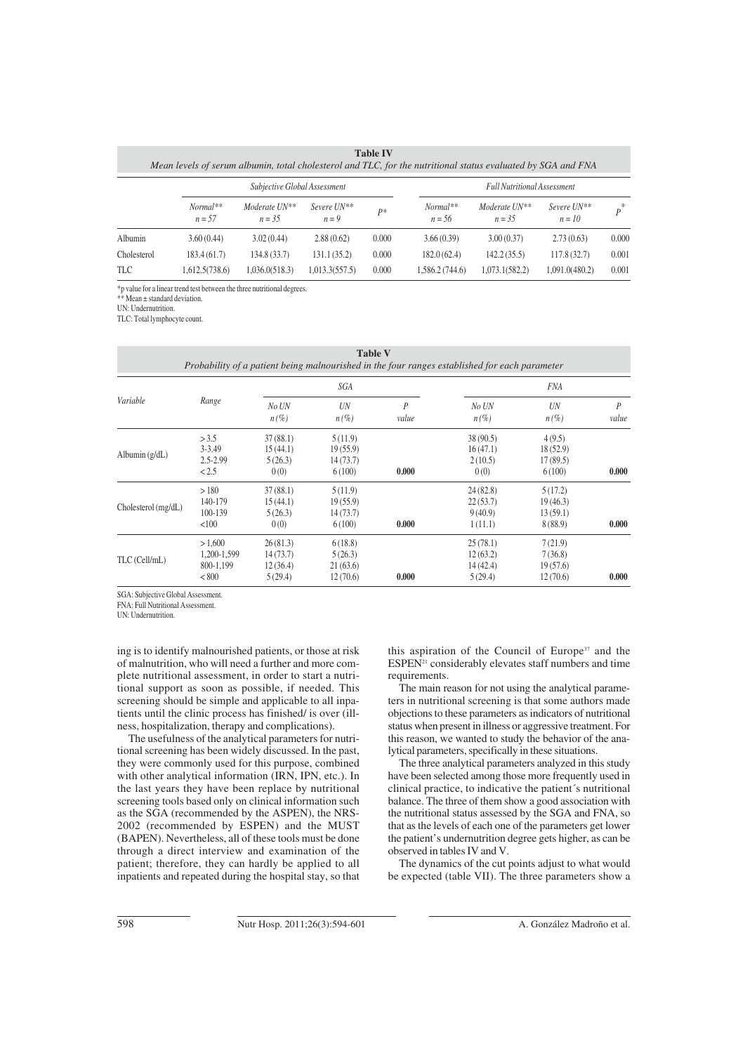| <b>Table IV</b><br>Mean levels of serum albumin, total cholesterol and TLC, for the nutritional status evaluated by SGA and FNA |                              |                           |                        |       |                                    |                            |                         |       |  |
|---------------------------------------------------------------------------------------------------------------------------------|------------------------------|---------------------------|------------------------|-------|------------------------------------|----------------------------|-------------------------|-------|--|
|                                                                                                                                 | Subjective Global Assessment |                           |                        |       | <b>Full Nutritional Assessment</b> |                            |                         |       |  |
|                                                                                                                                 | Normal**<br>$n = 57$         | Moderate UN**<br>$n = 35$ | Severe UN**<br>$n = 9$ | $P^*$ | $Normal**$<br>$n = 56$             | Moderate UN**<br>$n = 3.5$ | Severe UN**<br>$n = 10$ | $p^*$ |  |
| Albumin                                                                                                                         | 3.60(0.44)                   | 3.02(0.44)                | 2.88(0.62)             | 0.000 | 3.66(0.39)                         | 3.00(0.37)                 | 2.73(0.63)              | 0.000 |  |
| Cholesterol                                                                                                                     | 183.4 (61.7)                 | 134.8(33.7)               | 131.1(35.2)            | 0.000 | 182.0(62.4)                        | 142.2(35.5)                | 117.8(32.7)             | 0.001 |  |
| <b>TLC</b>                                                                                                                      | 1,612.5(738.6)               | 1,036.0(518.3)            | 1,013.3(557.5)         | 0.000 | 1,586.2 (744.6)                    | 1,073.1(582.2)             | 1,091.0(480.2)          | 0.001 |  |

\*p value for a linear trend test between the three nutritional degrees.

\*\* Mean ± standard deviation.

UN: Undernutrition.

TLC: Total lymphocyte count.

| <b>Table V</b><br>Probability of a patient being malnourished in the four ranges established for each parameter |                                              |                                             |                                            |            |                                             |                                            |                         |  |
|-----------------------------------------------------------------------------------------------------------------|----------------------------------------------|---------------------------------------------|--------------------------------------------|------------|---------------------------------------------|--------------------------------------------|-------------------------|--|
|                                                                                                                 |                                              | SGA                                         |                                            |            | <i>FNA</i>                                  |                                            |                         |  |
| Variable                                                                                                        | Range                                        | No UN<br>$n(\%)$                            | UN<br>$n(\%)$                              | P<br>value | No UN<br>$n(\%)$                            | UN<br>$n(\%)$                              | $\overline{P}$<br>value |  |
| Albumin $(g/dL)$                                                                                                | > 3.5<br>$3 - 3.49$<br>$2.5 - 2.99$<br>< 2.5 | 37(88.1)<br>15(44.1)<br>5(26.3)<br>0(0)     | 5(11.9)<br>19(55.9)<br>14(73.7)<br>6(100)  | 0.000      | 38(90.5)<br>16(47.1)<br>2(10.5)<br>0(0)     | 4(9.5)<br>18(52.9)<br>17(89.5)<br>6(100)   | 0.000                   |  |
| Cholesterol (mg/dL)                                                                                             | >180<br>140-179<br>100-139<br>< 100          | 37(88.1)<br>15(44.1)<br>5(26.3)<br>0(0)     | 5(11.9)<br>19(55.9)<br>14(73.7)<br>6(100)  | 0.000      | 24(82.8)<br>22(53.7)<br>9(40.9)<br>1(11.1)  | 5(17.2)<br>19(46.3)<br>13(59.1)<br>8(88.9) | 0.000                   |  |
| TLC (Cell/mL)                                                                                                   | >1.600<br>1,200-1,599<br>800-1,199<br>< 800  | 26(81.3)<br>14(73.7)<br>12(36.4)<br>5(29.4) | 6(18.8)<br>5(26.3)<br>21(63.6)<br>12(70.6) | 0.000      | 25(78.1)<br>12(63.2)<br>14(42.4)<br>5(29.4) | 7(21.9)<br>7(36.8)<br>19(57.6)<br>12(70.6) | 0.000                   |  |

SGA: Subjective Global Assessment.

FNA: Full Nutritional Assessment.

UN: Undernutrition.

ing is to identify malnourished patients, or those at risk of malnutrition, who will need a further and more complete nutritional assessment, in order to start a nutritional support as soon as possible, if needed. This screening should be simple and applicable to all inpatients until the clinic process has finished/ is over (illness, hospitalization, therapy and complications).

The usefulness of the analytical parameters for nutritional screening has been widely discussed. In the past, they were commonly used for this purpose, combined with other analytical information (IRN, IPN, etc.). In the last years they have been replace by nutritional screening tools based only on clinical information such as the SGA (recommended by the ASPEN), the NRS-2002 (recommended by ESPEN) and the MUST (BAPEN). Nevertheless, all of these tools must be done through a direct interview and examination of the patient; therefore, they can hardly be applied to all inpatients and repeated during the hospital stay, so that this aspiration of the Council of Europe<sup>37</sup> and the  $ESPEN<sup>21</sup>$  considerably elevates staff numbers and time requirements.

The main reason for not using the analytical parameters in nutritional screening is that some authors made objections to these parameters as indicators of nutritional status when present in illness or aggressive treatment. For this reason, we wanted to study the behavior of the analytical parameters, specifically in these situations.

The three analytical parameters analyzed in this study have been selected among those more frequently used in clinical practice, to indicative the patient´s nutritional balance. The three of them show a good association with the nutritional status assessed by the SGA and FNA, so that as the levels of each one of the parameters get lower the patient's undernutrition degree gets higher, as can be observed in tables IV and V.

The dynamics of the cut points adjust to what would be expected (table VII). The three parameters show a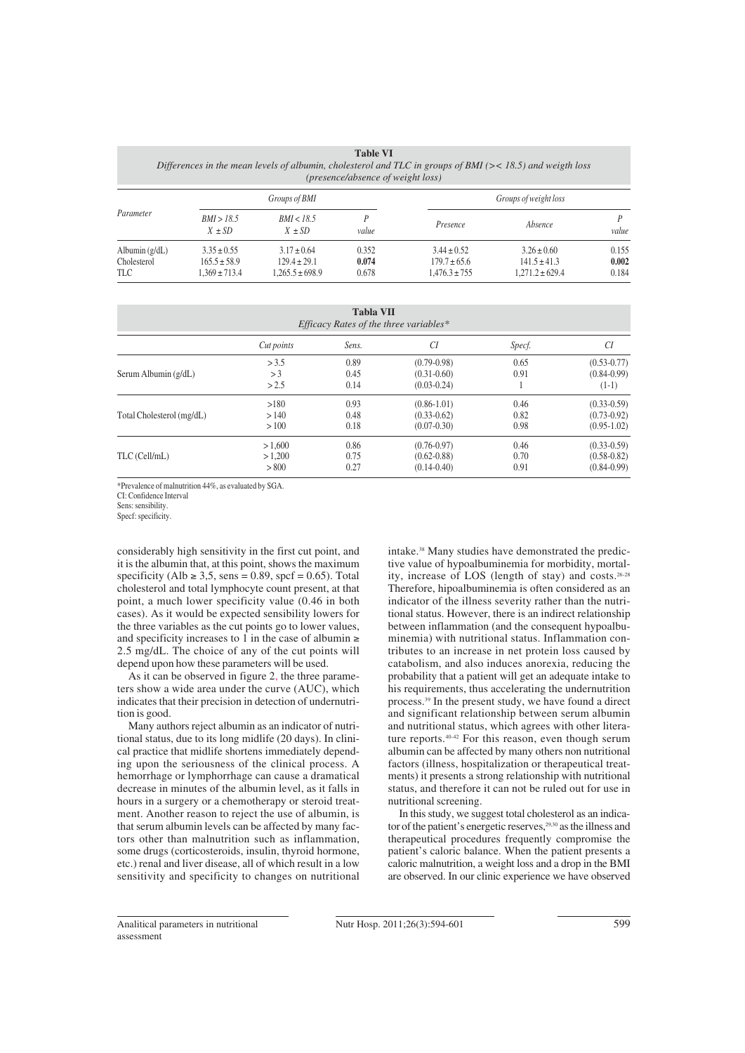| <b>Table VI</b>                                                                                               |
|---------------------------------------------------------------------------------------------------------------|
| Differences in the mean levels of albumin, cholesterol and TLC in groups of BMI ( $\ge$ 18.5) and weigth loss |
| ( <i>presence</i> /absence of weight loss)                                                                    |

| Parameter                              | Groups of BMI                                            |                                                            |                         | Groups of weight loss                                    |                                                            |                         |
|----------------------------------------|----------------------------------------------------------|------------------------------------------------------------|-------------------------|----------------------------------------------------------|------------------------------------------------------------|-------------------------|
|                                        | BMI > 18.5<br>$X \pm SD$                                 | BMI < 18.5<br>$X \pm SD$                                   | value                   | Presence                                                 | Absence                                                    | value                   |
| Albumin $(g/dL)$<br>Cholesterol<br>TLC | $3.35 \pm 0.55$<br>$165.5 \pm 58.9$<br>$1.369 \pm 713.4$ | $3.17 \pm 0.64$<br>$129.4 \pm 29.1$<br>$1.265.5 \pm 698.9$ | 0.352<br>0.074<br>0.678 | $3.44 \pm 0.52$<br>$179.7 \pm 65.6$<br>$1.476.3 \pm 755$ | $3.26 \pm 0.60$<br>$141.5 \pm 41.3$<br>$1.271.2 \pm 629.4$ | 0.155<br>0.002<br>0.184 |

| <b>Tabla VII</b><br>Efficacy Rates of the three variables* |            |       |                 |        |                 |  |  |
|------------------------------------------------------------|------------|-------|-----------------|--------|-----------------|--|--|
|                                                            | Cut points | Sens. | CI              | Specf. | CI              |  |  |
|                                                            | > 3.5      | 0.89  | $(0.79 - 0.98)$ | 0.65   | $(0.53 - 0.77)$ |  |  |
| Serum Albumin (g/dL)                                       | >3         | 0.45  | $(0.31 - 0.60)$ | 0.91   | $(0.84 - 0.99)$ |  |  |
|                                                            | >2.5       | 0.14  | $(0.03 - 0.24)$ |        | $(1-1)$         |  |  |
|                                                            | >180       | 0.93  | $(0.86 - 1.01)$ | 0.46   | $(0.33 - 0.59)$ |  |  |
| Total Cholesterol (mg/dL)                                  | >140       | 0.48  | $(0.33 - 0.62)$ | 0.82   | $(0.73 - 0.92)$ |  |  |
|                                                            | >100       | 0.18  | $(0.07 - 0.30)$ | 0.98   | $(0.95-1.02)$   |  |  |
|                                                            | >1.600     | 0.86  | $(0.76 - 0.97)$ | 0.46   | $(0.33 - 0.59)$ |  |  |
| TLC (Cell/mL)                                              | >1.200     | 0.75  | $(0.62 - 0.88)$ | 0.70   | $(0.58 - 0.82)$ |  |  |
|                                                            | > 800      | 0.27  | $(0.14 - 0.40)$ | 0.91   | $(0.84 - 0.99)$ |  |  |

\*Prevalence of malnutrition 44%, as evaluated by SGA.

CI: Confidence Interval

Sens: sensibility.

Specf: specificity.

considerably high sensitivity in the first cut point, and it is the albumin that, at this point, shows the maximum specificity (Alb  $\ge$  3,5, sens = 0.89, spcf = 0.65). Total cholesterol and total lymphocyte count present, at that point, a much lower specificity value (0.46 in both cases). As it would be expected sensibility lowers for the three variables as the cut points go to lower values, and specificity increases to 1 in the case of albumin  $\ge$ 2.5 mg/dL. The choice of any of the cut points will depend upon how these parameters will be used.

As it can be observed in figure 2, the three parameters show a wide area under the curve (AUC), which indicates that their precision in detection of undernutrition is good.

Many authors reject albumin as an indicator of nutritional status, due to its long midlife (20 days). In clinical practice that midlife shortens immediately depending upon the seriousness of the clinical process. A hemorrhage or lymphorrhage can cause a dramatical decrease in minutes of the albumin level, as it falls in hours in a surgery or a chemotherapy or steroid treatment. Another reason to reject the use of albumin, is that serum albumin levels can be affected by many factors other than malnutrition such as inflammation, some drugs (corticosteroids, insulin, thyroid hormone, etc.) renal and liver disease, all of which result in a low sensitivity and specificity to changes on nutritional intake.38 Many studies have demonstrated the predictive value of hypoalbuminemia for morbidity, mortality, increase of LOS (length of stay) and costs.26-28 Therefore, hipoalbuminemia is often considered as an indicator of the illness severity rather than the nutritional status. However, there is an indirect relationship between inflammation (and the consequent hypoalbuminemia) with nutritional status. Inflammation contributes to an increase in net protein loss caused by catabolism, and also induces anorexia, reducing the probability that a patient will get an adequate intake to his requirements, thus accelerating the undernutrition process.39 In the present study, we have found a direct and significant relationship between serum albumin and nutritional status, which agrees with other literature reports.40-42 For this reason, even though serum albumin can be affected by many others non nutritional factors (illness, hospitalization or therapeutical treatments) it presents a strong relationship with nutritional status, and therefore it can not be ruled out for use in nutritional screening.

In this study, we suggest total cholesterol as an indicator of the patient's energetic reserves,<sup>29,30</sup> as the illness and therapeutical procedures frequently compromise the patient's caloric balance. When the patient presents a caloric malnutrition, a weight loss and a drop in the BMI are observed. In our clinic experience we have observed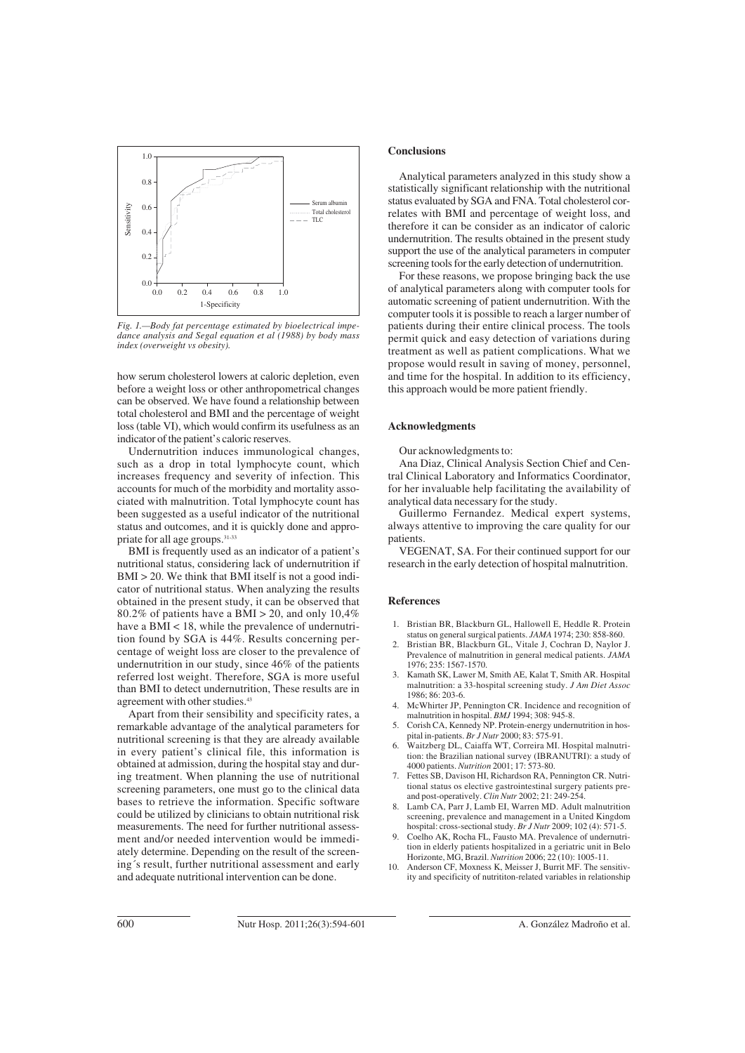

*Fig. 1.—Body fat percentage estimated by bioelectrical impedance analysis and Segal equation et al (1988) by body mass index (overweight vs obesity).*

how serum cholesterol lowers at caloric depletion, even before a weight loss or other anthropometrical changes can be observed. We have found a relationship between total cholesterol and BMI and the percentage of weight loss (table VI), which would confirm its usefulness as an indicator of the patient's caloric reserves.

Undernutrition induces immunological changes, such as a drop in total lymphocyte count, which increases frequency and severity of infection. This accounts for much of the morbidity and mortality associated with malnutrition. Total lymphocyte count has been suggested as a useful indicator of the nutritional status and outcomes, and it is quickly done and appropriate for all age groups.31-33

BMI is frequently used as an indicator of a patient's nutritional status, considering lack of undernutrition if  $BMI > 20$ . We think that BMI itself is not a good indicator of nutritional status. When analyzing the results obtained in the present study, it can be observed that 80.2% of patients have a BMI > 20, and only 10,4% have a BMI < 18, while the prevalence of undernutrition found by SGA is 44%. Results concerning percentage of weight loss are closer to the prevalence of undernutrition in our study, since 46% of the patients referred lost weight. Therefore, SGA is more useful than BMI to detect undernutrition, These results are in agreement with other studies.<sup>43</sup>

Apart from their sensibility and specificity rates, a remarkable advantage of the analytical parameters for nutritional screening is that they are already available in every patient's clinical file, this information is obtained at admission, during the hospital stay and during treatment. When planning the use of nutritional screening parameters, one must go to the clinical data bases to retrieve the information. Specific software could be utilized by clinicians to obtain nutritional risk measurements. The need for further nutritional assessment and/or needed intervention would be immediately determine. Depending on the result of the screening´s result, further nutritional assessment and early and adequate nutritional intervention can be done.

## **Conclusions**

Analytical parameters analyzed in this study show a statistically significant relationship with the nutritional status evaluated by SGA and FNA. Total cholesterol correlates with BMI and percentage of weight loss, and therefore it can be consider as an indicator of caloric undernutrition. The results obtained in the present study support the use of the analytical parameters in computer screening tools for the early detection of undernutrition.

For these reasons, we propose bringing back the use of analytical parameters along with computer tools for automatic screening of patient undernutrition. With the computer tools it is possible to reach a larger number of patients during their entire clinical process. The tools permit quick and easy detection of variations during treatment as well as patient complications. What we propose would result in saving of money, personnel, and time for the hospital. In addition to its efficiency, this approach would be more patient friendly.

#### **Acknowledgments**

Our acknowledgments to:

Ana Diaz, Clinical Analysis Section Chief and Central Clinical Laboratory and Informatics Coordinator, for her invaluable help facilitating the availability of analytical data necessary for the study.

Guillermo Fernandez. Medical expert systems, always attentive to improving the care quality for our patients.

VEGENAT, SA. For their continued support for our research in the early detection of hospital malnutrition.

#### **References**

- 1. Bristian BR, Blackburn GL, Hallowell E, Heddle R. Protein status on general surgical patients. *JAMA* 1974; 230: 858-860.
- 2. Bristian BR, Blackburn GL, Vitale J, Cochran D, Naylor J. Prevalence of malnutrition in general medical patients. *JAMA* 1976; 235: 1567-1570.
- 3. Kamath SK, Lawer M, Smith AE, Kalat T, Smith AR. Hospital malnutrition: a 33-hospital screening study. *J Am Diet Assoc* 1986; 86: 203-6.
- 4. McWhirter JP, Pennington CR. Incidence and recognition of malnutrition in hospital. *BMJ* 1994; 308: 945-8.
- 5. Corish CA, Kennedy NP. Protein-energy undernutrition in hospital in-patients. *Br J Nutr* 2000; 83: 575-91.
- 6. Waitzberg DL, Caiaffa WT, Correira MI. Hospital malnutrition: the Brazilian national survey (IBRANUTRI): a study of 4000 patients. *Nutrition* 2001; 17: 573-80.
- 7. Fettes SB, Davison HI, Richardson RA, Pennington CR. Nutritional status os elective gastrointestinal surgery patients preand post-operatively. *Clin Nutr* 2002; 21: 249-254.
- 8. Lamb CA, Parr J, Lamb EI, Warren MD. Adult malnutrition screening, prevalence and management in a United Kingdom hospital: cross-sectional study. *Br J Nutr* 2009; 102 (4): 571-5.
- 9. Coelho AK, Rocha FL, Fausto MA. Prevalence of undernutrition in elderly patients hospitalized in a geriatric unit in Belo Horizonte, MG, Brazil. *Nutrition* 2006; 22 (10): 1005-11.
- Anderson CF, Moxness K, Meisser J, Burrit MF. The sensitivity and specificity of nutrititon-related variables in relationship